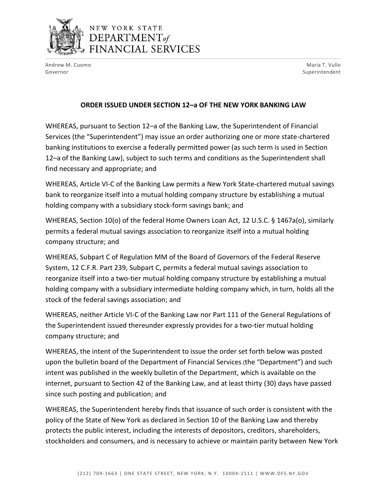

## NEW YORK STATE  $$ FINANCIAL SERVICES

Andrew M. Cuomo Governor

Maria T. Vullo Superintendent

## **ORDER ISSUED UNDER SECTION 12–a OF THE NEW YORK BANKING LAW**

WHEREAS, pursuant to Section 12–a of the Banking Law, the Superintendent of Financial Services (the "Superintendent") may issue an order authorizing one or more state-chartered banking institutions to exercise a federally permitted power (as such term is used in Section 12–a of the Banking Law), subject to such terms and conditions as the Superintendent shall find necessary and appropriate; and

WHEREAS, Article VI-C of the Banking Law permits a New York State-chartered mutual savings bank to reorganize itself into a mutual holding company structure by establishing a mutual holding company with a subsidiary stock-form savings bank; and

WHEREAS, Section 10(o) of the federal Home Owners Loan Act, 12 U.S.C. § 1467a(o), similarly permits a federal mutual savings association to reorganize itself into a mutual holding company structure; and

WHEREAS, Subpart C of Regulation MM of the Board of Governors of the Federal Reserve System, 12 C.F.R. Part 239, Subpart C, permits a federal mutual savings association to reorganize itself into a two-tier mutual holding company structure by establishing a mutual holding company with a subsidiary intermediate holding company which, in turn, holds all the stock of the federal savings association; and

WHEREAS, neither Article VI-C of the Banking Law nor Part 111 of the General Regulations of the Superintendent issued thereunder expressly provides for a two-tier mutual holding company structure; and

WHEREAS, the intent of the Superintendent to issue the order set forth below was posted upon the bulletin board of the Department of Financial Services (the "Department") and such intent was published in the weekly bulletin of the Department, which is available on the internet, pursuant to Section 42 of the Banking Law, and at least thirty (30) days have passed since such posting and publication; and

WHEREAS, the Superintendent hereby finds that issuance of such order is consistent with the policy of the State of New York as declared in Section 10 of the Banking Law and thereby protects the public interest, including the interests of depositors, creditors, shareholders, stockholders and consumers, and is necessary to achieve or maintain parity between New York